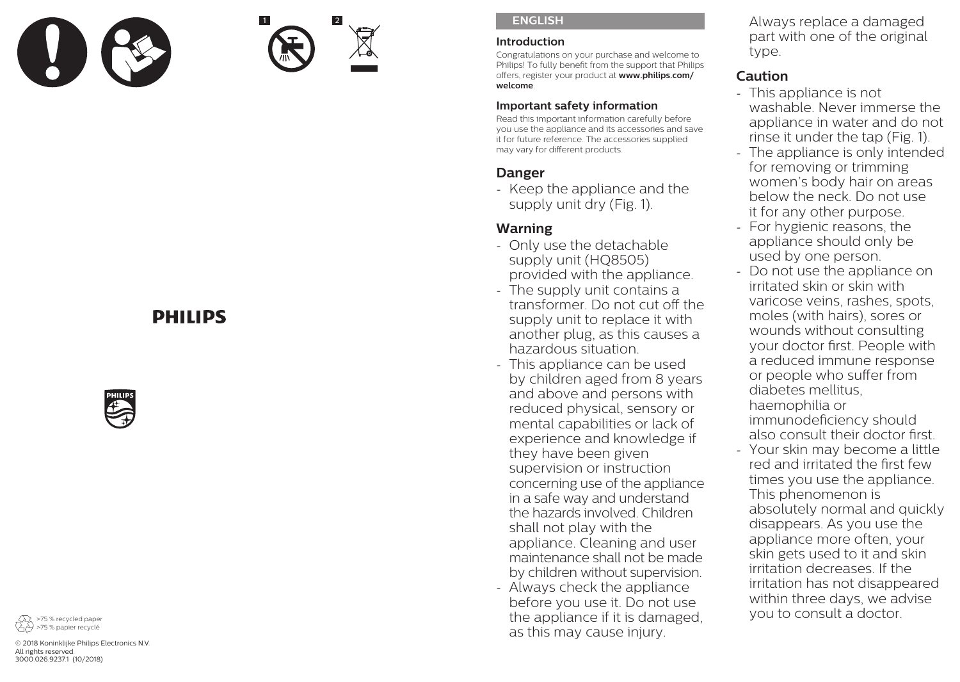

1 2

#### **ENGLISH**

#### **Introduction**

Congratulations on your purchase and welcome to Philips! To fully benefit from the support that Philips offers, register your product at **www.philips.com/ welcome**.

### **Important safety information**

Read this important information carefully before you use the appliance and its accessories and save it for future reference. The accessories supplied may vary for different products.

# **Danger**

- Keep the appliance and the supply unit dry (Fig. 1).

# **Warning**

- Only use the detachable supply unit (HQ8505) provided with the appliance.
- The supply unit contains a transformer. Do not cut off the supply unit to replace it with another plug, as this causes a hazardous situation.
- This appliance can be used by children aged from 8 years and above and persons with reduced physical, sensory or mental capabilities or lack of experience and knowledge if they have been given supervision or instruction concerning use of the appliance in a safe way and understand the hazards involved. Children shall not play with the appliance. Cleaning and user maintenance shall not be made by children without supervision.
- Always check the appliance before you use it. Do not use the appliance if it is damaged, as this may cause injury.

Always replace a damaged part with one of the original type.

# **Caution**

- This appliance is not washable. Never immerse the appliance in water and do not rinse it under the tap (Fig. 1).
- The appliance is only intended for removing or trimming women's body hair on areas below the neck. Do not use it for any other purpose.
- For hygienic reasons, the appliance should only be used by one person.
- Do not use the appliance on irritated skin or skin with varicose veins, rashes, spots, moles (with hairs), sores or wounds without consulting your doctor first. People with a reduced immune response or people who suffer from diabetes mellitus, haemophilia or immunodeficiency should also consult their doctor first.
- Your skin may become a little red and irritated the first few times you use the appliance. This phenomenon is absolutely normal and quickly disappears. As you use the appliance more often, your skin gets used to it and skin irritation decreases. If the irritation has not disappeared within three days, we advise you to consult a doctor.

# **DHILIDS**





© 2018 Koninklijke Philips Electronics N.V. All rights reserved. 3000.026.9237.1 (10/2018)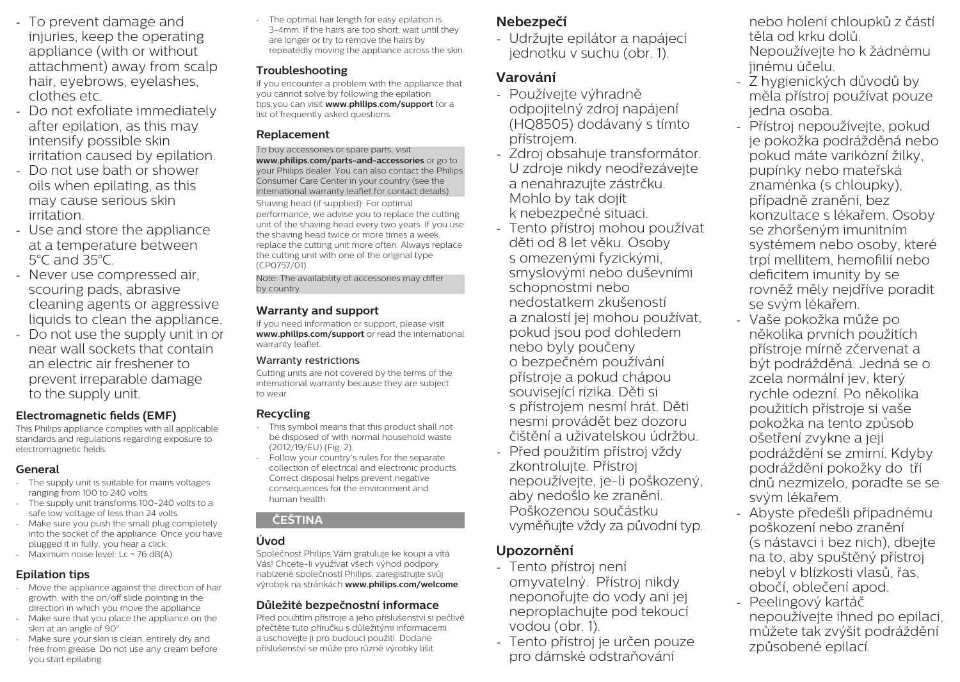- To prevent damage and injuries, keep the operating appliance (with or without attachment) away from scalp hair, eyebrows, eyelashes, clothes etc.
- Do not exfoliate immediately after epilation, as this may intensify possible skin irritation caused by epilation.
- Do not use bath or shower oils when epilating, as this may cause serious skin irritation.
- Use and store the appliance at a temperature between 5°C and 35°C.
- Never use compressed air, scouring pads, abrasive cleaning agents or aggressive liquids to clean the appliance.
- Do not use the supply unit in or near wall sockets that contain an electric air freshener to prevent irreparable damage to the supply unit.

### **Electromagnetic fields (EMF)**

This Philips appliance complies with all applicable standards and regulations regarding exposure to electromagnetic fields.

### **General**

- The supply unit is suitable for mains voltages ranging from 100 to 240 volts.
- The supply unit transforms 100-240 volts to a safe low voltage of less than 24 volts.
- Make sure you push the small plug completely into the socket of the appliance. Once you have plugged it in fully, you hear a click.
- Maximum noise level: Lc = 76 dB(A).

# **Epilation tips**

- Move the appliance against the direction of hair growth, with the on/off slide pointing in the direction in which you move the appliance.
- Make sure that you place the appliance on the skin at an angle of 90°
- Make sure your skin is clean, entirely dry and free from grease. Do not use any cream before you start epilating.

The optimal hair length for easy epilation is 3-4mm. If the hairs are too short, wait until they are longer or try to remove the hairs by repeatedly moving the appliance across the skin.

# **Troubleshooting**

If you encounter a problem with the appliance that you cannot solve by following the epilation tips,you can visit **www.philips.com/support** for a list of frequently asked questions.

# **Replacement**

To buy accessories or spare parts, visit **www.philips.com/parts-and-accessories** or go to your Philips dealer. You can also contact the Philips Consumer Care Center in your country (see the international warranty leaflet for contact details).

Shaving head (if supplied): For optimal performance, we advise you to replace the cutting unit of the shaving head every two years. If you use the shaving head twice or more times a week, replace the cutting unit more often. Always replace the cutting unit with one of the original type (CP0757/01).

Note: The availability of accessories may differ by country.

# **Warranty and support**

If you need information or support, please visit **www.philips.com/support** or read the international warranty leaflet.

### Warranty restrictions

Cutting units are not covered by the terms of the international warranty because they are subject to wear.

# **Recycling**

- This symbol means that this product shall not be disposed of with normal household waste (2012/19/EU) (Fig. 2).
- Follow your country's rules for the separate collection of electrical and electronic products. Correct disposal helps prevent negative consequences for the environment and human health.

# **ČEŠTINA**

# **Úvod**

Společnost Philips Vám gratuluje ke koupi a vítá Vás! Chcete-li využívat všech výhod podpory nabízené společností Philips, zaregistrujte svůj výrobek na stránkách **www.philips.com/welcome**.

# **Důležité bezpečnostní informace**

Před použitím přístroje a jeho příslušenství si pečlivě přečtěte tuto příručku s důležitými informacemi a uschovejte ji pro budoucí použití. Dodané příslušenství se může pro různé výrobky lišit.

# **Nebezpečí**

- Udržujte epilátor a napájecí jednotku v suchu (obr. 1).

# **Varování**

- Používejte výhradně odpojitelný zdroj napájení (HQ8505) dodávaný s tímto přístrojem.
- Zdroj obsahuje transformátor. U zdroje nikdy neodřezávejte a nenahrazujte zástrčku. Mohlo by tak dojít k nebezpečné situaci.
- Tento přístroj mohou používat děti od 8 let věku. Osoby s omezenými fyzickými, smyslovými nebo duševními schopnostmi nebo nedostatkem zkušeností a znalostí jej mohou používat, pokud jsou pod dohledem nebo byly poučeny o bezpečném používání přístroje a pokud chápou související rizika. Děti si s přístrojem nesmí hrát. Děti nesmí provádět bez dozoru čištění a uživatelskou údržbu.
- Před použitím přístroj vždy zkontrolujte. Přístroj nepoužívejte, je-li poškozený, aby nedošlo ke zranění. Poškozenou součástku vyměňujte vždy za původní typ.

# **Upozornění**

- Tento přístroj není omyvatelný. Přístroj nikdy neponořujte do vody ani jej neproplachujte pod tekoucí vodou (obr. 1).
- Tento přístroj je určen pouze pro dámské odstraňování

nebo holení chloupků z částí těla od krku dolů. Nepoužívejte ho k žádnému jinému účelu.

- Z hygienických důvodů by měla přístroj používat pouze jedna osoba.
- Přístroj nepoužívejte, pokud je pokožka podrážděná nebo pokud máte varikózní žilky, pupínky nebo mateřská znaménka (s chloupky), případně zranění, bez konzultace s lékařem. Osoby se zhoršeným imunitním systémem nebo osoby, které trpí mellitem, hemofilií nebo deficitem imunity by se rovněž měly nejdříve poradit se svým lékařem.
- Vaše pokožka může po několika prvních použitích přístroje mírně zčervenat a být podrážděná. Jedná se o zcela normální jev, který rychle odezní. Po několika použitích přístroje si vaše pokožka na tento způsob ošetření zvykne a její podráždění se zmírní. Kdyby podráždění pokožky do tří dnů nezmizelo, poraďte se se svým lékařem.
- Abyste předešli případnému poškození nebo zranění (s nástavci i bez nich), dbejte na to, aby spuštěný přístroj nebyl v blízkosti vlasů, řas, obočí, oblečení apod.
- Peelingový kartáč nepoužívejte ihned po epilaci, můžete tak zvýšit podráždění způsobené epilací.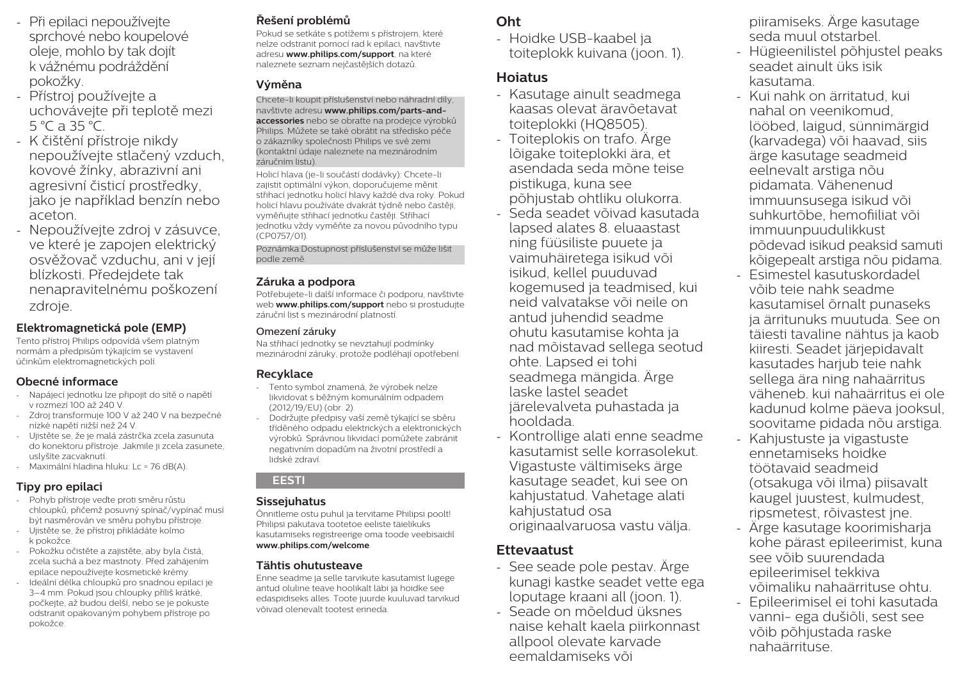- Při epilaci nepoužívejte sprchové nebo koupelové oleje, mohlo by tak dojít k vážnému podráždění pokožky.
- Přístroj používejte a uchovávejte při teplotě mezi 5 °C a 35 °C.
- K čištění přístroje nikdy nepoužívejte stlačený vzduch, kovové žínky, abrazivní ani agresivní čisticí prostředky, jako je například benzín nebo aceton.
- Nepoužívejte zdroj v zásuvce, ve které je zapojen elektrický osvěžovač vzduchu, ani v její blízkosti. Předejdete tak nenapravitelnému poškození zdroje.

### **Elektromagnetická pole (EMP)**

Tento přístroj Philips odpovídá všem platným normám a předpisům týkajícím se vystavení účinkům elektromagnetických polí.

### **Obecné informace**

- Napájecí jednotku lze připojit do sítě o napětí v rozmezí 100 až 240 V.
- Zdroj transformuje 100 V až 240 V na bezpečné nízké napětí nižší než 24 V.
- Ujistěte se, že je malá zástrčka zcela zasunuta do konektoru přístroje. Jakmile ji zcela zasunete, uslyšíte zacvaknutí.
- Maximální hladina hluku: Lc = 76 dB(A).

# **Tipy pro epilaci**

- Pohyb přístroje veďte proti směru růstu chloupků, přičemž posuvný spínač/vypínač musí být nasměrován ve směru pohybu přístroje.
- Ujistěte se, že přístroj přikládáte kolmo k pokožce.
- Pokožku očistěte a zajistěte, aby byla čistá, zcela suchá a bez mastnoty. Před zahájením epilace nepoužívejte kosmetické krémy.
- Ideální délka chloupků pro snadnou epilaci je 3–4 mm. Pokud jsou chloupky příliš krátké, počkejte, až budou delší, nebo se je pokuste odstranit opakovaným pohybem přístroje po pokožce.

# **Řešení problémů**

Pokud se setkáte s potížemi s přístrojem, které nelze odstranit pomocí rad k epilaci, navštivte adresu **www.philips.com/support**, na které naleznete seznam nejčastějších dotazů.

## **Výměna**

Chcete-li koupit příslušenství nebo náhradní díly, navštivte adresu **www.philips.com/parts-andaccessories** nebo se obraťte na prodejce výrobků Philips. Můžete se také obrátit na středisko péče o zákazníky společnosti Philips ve své zemi (kontaktní údaje naleznete na mezinárodním záručním listu).

Holicí hlava (je-li součástí dodávky): Chcete-li zajistit optimální výkon, doporučujeme měnit střihací jednotku holicí hlavy každé dva roky. Pokud holicí hlavu používáte dvakrát týdně nebo častěji, vyměňujte střihací jednotku častěji. Stříhací jednotku vždy vyměňte za novou původního typu (CP0757/01).

Poznámka:Dostupnost příslušenství se může lišit podle země.

#### **Záruka a podpora**

Potřebujete-li další informace či podporu, navštivte web **www.philips.com/support** nebo si prostudujte záruční list s mezinárodní platností.

#### Omezení záruky

Na střihací jednotky se nevztahují podmínky mezinárodní záruky, protože podléhají opotřebení.

### **Recyklace**

- Tento symbol znamená, že výrobek nelze likvidovat s běžným komunálním odpadem (2012/19/EU) (obr. 2).
- Dodržujte předpisy vaší země týkající se sběru tříděného odpadu elektrických a elektronických výrobků. Správnou likvidací pomůžete zabránit negativním dopadům na životní prostředí a lidské zdraví.

#### **EESTI**

#### **Sissejuhatus**

Õnnitleme ostu puhul ja tervitame Philipsi poolt! Philipsi pakutava tootetoe eeliste täielikuks kasutamiseks registreerige oma toode veebisaidil **www.philips.com/welcome**.

### **Tähtis ohutusteave**

Enne seadme ja selle tarvikute kasutamist lugege antud oluline teave hoolikalt läbi ja hoidke see edaspidiseks alles. Toote juurde kuuluvad tarvikud võivad olenevalt tootest erineda.

# **Oht**

- Hoidke USB-kaabel ja toiteplokk kuivana (joon. 1).

# **Hoiatus**

- Kasutage ainult seadmega kaasas olevat äravõetavat toiteplokki (HQ8505).
- Toiteplokis on trafo. Ärge lõigake toiteplokki ära, et asendada seda mõne teise pistikuga, kuna see põhjustab ohtliku olukorra.
- Seda seadet võivad kasutada lapsed alates 8. eluaastast ning füüsiliste puuete ja vaimuhäiretega isikud või isikud, kellel puuduvad kogemused ja teadmised, kui neid valvatakse või neile on antud juhendid seadme ohutu kasutamise kohta ja nad mõistavad sellega seotud ohte. Lapsed ei tohi seadmega mängida. Ärge laske lastel seadet järelevalveta puhastada ja hooldada.
- Kontrollige alati enne seadme kasutamist selle korrasolekut. Vigastuste vältimiseks ärge kasutage seadet, kui see on kahjustatud. Vahetage alati kahjustatud osa originaalvaruosa vastu välja.

# **Ettevaatust**

- See seade pole pestav. Ärge kunagi kastke seadet vette ega loputage kraani all (joon. 1).
- Seade on mõeldud üksnes naise kehalt kaela piirkonnast allpool olevate karvade eemaldamiseks või

piiramiseks. Ärge kasutage seda muul otstarbel.

- Hügieenilistel põhjustel peaks seadet ainult üks isik kasutama.
- Kui nahk on ärritatud, kui nahal on veenikomud, lööbed, laigud, sünnimärgid (karvadega) või haavad, siis ärge kasutage seadmeid eelnevalt arstiga nõu pidamata. Vähenenud immuunsusega isikud või suhkurtõbe, hemofiiliat või immuunpuudulikkust põdevad isikud peaksid samuti kõigepealt arstiga nõu pidama.
- Esimestel kasutuskordadel võib teie nahk seadme kasutamisel õrnalt punaseks ja ärritunuks muutuda. See on täiesti tavaline nähtus ja kaob kiiresti. Seadet järjepidavalt kasutades harjub teie nahk sellega ära ning nahaärritus väheneb. kui nahaärritus ei ole kadunud kolme päeva jooksul, soovitame pidada nõu arstiga.
- Kahjustuste ja vigastuste ennetamiseks hoidke töötavaid seadmeid (otsakuga või ilma) piisavalt kaugel juustest, kulmudest, ripsmetest, rõivastest jne.
- Ärge kasutage koorimisharja kohe pärast epileerimist, kuna see võib suurendada epileerimisel tekkiva võimaliku nahaärrituse ohtu.
- Epileerimisel ei tohi kasutada vanni- ega dušiõli, sest see võib põhjustada raske nahaärrituse.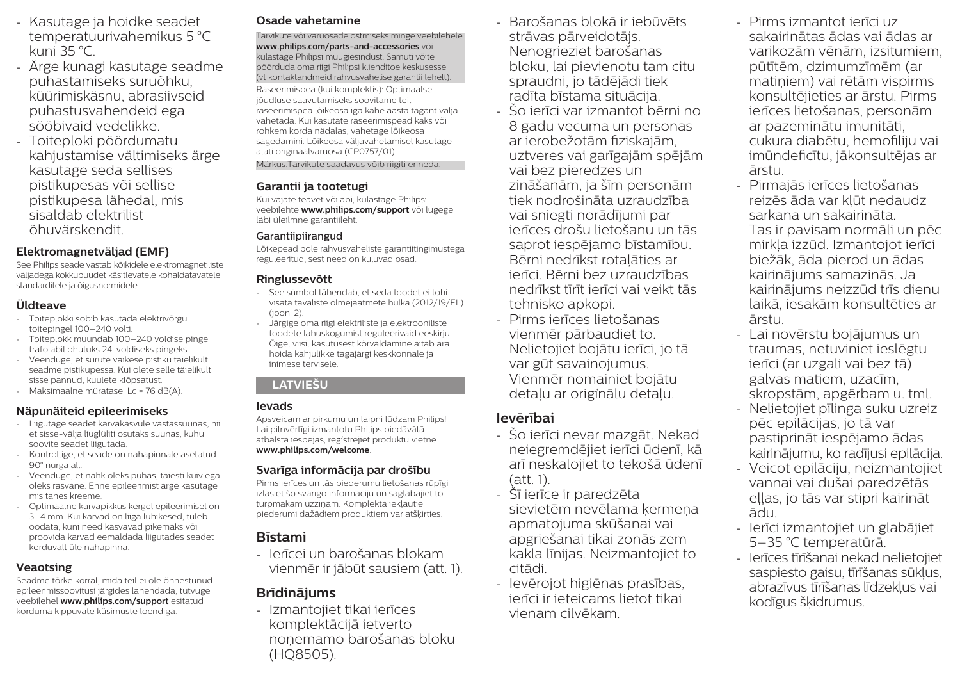- Kasutage ja hoidke seadet temperatuurivahemikus 5 °C kuni 35 °C.
- Ärge kunagi kasutage seadme puhastamiseks suruõhku, küürimiskäsnu, abrasiivseid puhastusvahendeid ega sööbivaid vedelikke.
- Toiteploki pöördumatu kahjustamise vältimiseks ärge kasutage seda sellises pistikupesas või sellise pistikupesa lähedal, mis sisaldab elektrilist õhuvärskendit.

# **Elektromagnetväljad (EMF)**

See Philips seade vastab kõikidele elektromagnetiliste väljadega kokkupuudet käsitlevatele kohaldatavatele standarditele ja õigusnormidele.

### **Üldteave**

- Toiteplokki sobib kasutada elektrivõrgu toitepingel 100–240 volti.
- Toiteplokk muundab 100–240 voldise pinge trafo abil ohutuks 24-voldiseks pingeks.
- Veenduge, et surute väikese pistiku täielikult seadme pistikupessa. Kui olete selle täielikult sisse pannud, kuulete klõpsatust.
- Maksimaalne müratase: Lc = 76 dB(A).

#### **Näpunäiteid epileerimiseks**

- Liigutage seadet karvakasvule vastassuunas, nii et sisse-välja liuglüliti osutaks suunas, kuhu soovite seadet liigutada.
- Kontrollige, et seade on nahapinnale asetatud 90° nurga all.
- Veenduge, et nahk oleks puhas, täiesti kuiv ega oleks rasvane. Enne epileerimist ärge kasutage mis tahes kreeme.
- Optimaalne karvapikkus kergel epileerimisel on 3–4 mm. Kui karvad on liiga lühikesed, tuleb oodata, kuni need kasvavad pikemaks või proovida karvad eemaldada liigutades seadet korduvalt üle nahapinna.

### **Veaotsing**

Seadme tõrke korral, mida teil ei ole õnnestunud epileerimissoovitusi järgides lahendada, tutvuge veebilehel **www.philips.com/support** esitatud korduma kippuvate küsimuste loendiga.

# **Osade vahetamine**

Tarvikute või varuosade ostmiseks minge veebilehele **www.philips.com/parts-and-accessories** või külastage Philipsi müügiesindust. Samuti võite pöörduda oma riigi Philipsi klienditoe keskusesse (vt kontaktandmeid rahvusvahelise garantii lehelt).

Raseerimispea (kui komplektis): Optimaalse jõudluse saavutamiseks soovitame teil raseerimispea lõikeosa iga kahe aasta tagant välja vahetada. Kui kasutate raseerimispead kaks või rohkem korda nädalas, vahetage lõikeosa sagedamini. Lõikeosa väljavahetamisel kasutage alati originaalvaruosa (CP0757/01).

Märkus.Tarvikute saadavus võib riigiti erineda.

### **Garantii ja tootetugi**

Kui vajate teavet või abi, külastage Philipsi veebilehte **www.philips.com/support** või lugege läbi üleilmne garantiileht.

#### Garantiipiirangud

Lõikepead pole rahvusvaheliste garantiitingimustega reguleeritud, sest need on kuluvad osad.

### **Ringlussevõtt**

- See sümbol tähendab, et seda toodet ei tohi visata tavaliste olmejäätmete hulka (2012/19/EL) (joon. 2).
- Järgige oma riigi elektriliste ja elektrooniliste toodete lahuskogumist reguleerivaid eeskirju. Õigel viisil kasutusest kõrvaldamine aitab ära hoida kahjulikke tagajärgi keskkonnale ja inimese tervisele.

### **LATVIEŠU**

### **Ievads**

Apsveicam ar pirkumu un laipni lūdzam Philips! Lai pilnvērtīgi izmantotu Philips piedāvātā atbalsta iespējas, reģistrējiet produktu vietnē **www.philips.com/welcome**.

### **Svarīga informācija par drošību**

Pirms ierīces un tās piederumu lietošanas rūpīgi izlasiet šo svarīgo informāciju un saglabājiet to turpmākām uzziņām. Komplektā iekļautie piederumi dažādiem produktiem var atšķirties.

# **Bīstami**

- Ierīcei un barošanas blokam vienmēr ir jābūt sausiem (att. 1).

# **Brīdinājums**

- Izmantojiet tikai ierīces komplektācijā ietverto noņemamo barošanas bloku (HQ8505).

- Barošanas blokā ir iebūvēts strāvas pārveidotājs. Nenogrieziet barošanas bloku, lai pievienotu tam citu spraudni, jo tādējādi tiek radīta bīstama situācija.
- Šo ierīci var izmantot bērni no 8 gadu vecuma un personas ar ierobežotām fiziskajām, uztveres vai garīgajām spējām vai bez pieredzes un zināšanām, ja šīm personām tiek nodrošināta uzraudzība vai sniegti norādījumi par ierīces drošu lietošanu un tās saprot iespējamo bīstamību. Bērni nedrīkst rotaļāties ar ierīci. Bērni bez uzraudzības nedrīkst tīrīt ierīci vai veikt tās tehnisko apkopi.
- Pirms ierīces lietošanas vienmēr pārbaudiet to. Nelietojiet bojātu ierīci, jo tā var gūt savainojumus. Vienmēr nomainiet bojātu detaļu ar oriģināļu detaļu.

# **Ievērībai**

- Šo ierīci nevar mazgāt. Nekad neiegremdējiet ierīci ūdenī, kā arī neskalojiet to tekošā ūdenī (att. 1).
- Šī ierīce ir paredzēta sievietēm nevēlama kermena apmatojuma skūšanai vai apgriešanai tikai zonās zem kakla līnijas. Neizmantojiet to citādi.
- Ievērojot higiēnas prasības, ierīci ir ieteicams lietot tikai vienam cilvēkam.
- Pirms izmantot ierīci uz sakairinātas ādas vai ādas ar varikozām vēnām, izsitumiem, pūtītēm, dzimumzīmēm (ar matiņiem) vai rētām vispirms konsultējieties ar ārstu. Pirms ierīces lietošanas, personām ar pazeminātu imunitāti, cukura diabētu, hemofiliju vai imūndeficītu, jākonsultējas ar ārstu.
- Pirmajās ierīces lietošanas reizēs āda var kļūt nedaudz sarkana un sakairināta. Tas ir pavisam normāli un pēc mirkļa izzūd. Izmantojot ierīci biežāk, āda pierod un ādas kairinājums samazinās. Ja kairinājums neizzūd trīs dienu laikā, iesakām konsultēties ar ārstu.
- Lai novērstu bojājumus un traumas, netuviniet ieslēgtu ierīci (ar uzgali vai bez tā) galvas matiem, uzacīm, skropstām, apģērbam u. tml.
- Nelietojiet pīlinga suku uzreiz pēc epilācijas, jo tā var pastiprināt iespējamo ādas kairinājumu, ko radījusi epilācija.
- Veicot epilāciju, neizmantojiet vannai vai dušai paredzētās eļļas, jo tās var stipri kairināt ādu.
- Ierīci izmantojiet un glabājiet 5–35 °C temperatūrā.
- Ierīces tīrīšanai nekad nelietojiet saspiesto gaisu, tīrīšanas sūkļus, abrazīvus tīrīšanas līdzekļus vai kodīgus šķidrumus.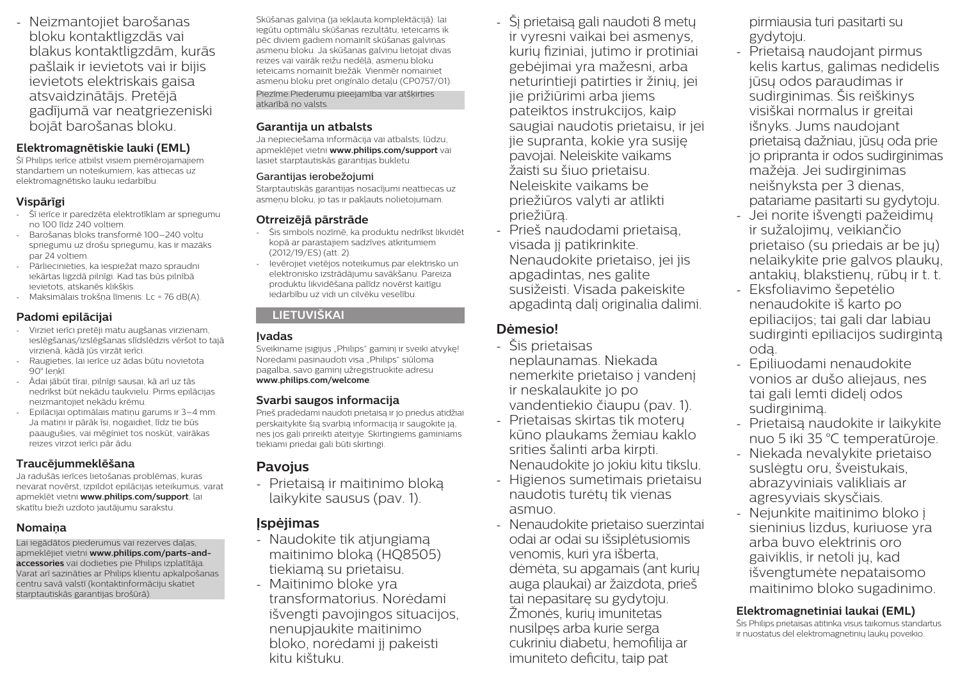- Neizmantojiet barošanas bloku kontaktligzdās vai blakus kontaktligzdām, kurās pašlaik ir ievietots vai ir bijis ievietots elektriskais gaisa atsvaidzinātājs. Pretējā gadījumā var neatgriezeniski bojāt barošanas bloku.

#### **Elektromagnētiskie lauki (EML)**

Šī Philips ierīce atbilst visiem piemērojamajiem standartiem un noteikumiem, kas attiecas uz elektromagnētisko lauku iedarbību.

#### **Vispārīgi**

- Šī ierīce ir paredzēta elektrotīklam ar spriegumu no 100 līdz 240 voltiem.
- Barošanas bloks transformē 100–240 voltu spriegumu uz drošu spriegumu, kas ir mazāks par 24 voltiem.
- Pārliecinieties, ka iespiežat mazo spraudni iekārtas ligzdā pilnīgi. Kad tas būs pilnībā ievietots, atskanēs klikšķis.
- Maksimālais trokšņa līmenis: Lc = 76 dB(A).

### **Padomi epilācijai**

- Virziet ierīci pretēji matu augšanas virzienam, ieslēgšanas/izslēgšanas slīdslēdzis vēršot to tajā virzienā, kādā jūs virzāt ierīci.
- Raugieties, lai ierīce uz ādas būtu novietota 90° leņķī.
- Ādai jābūt tīrai, pilnīgi sausai, kā arī uz tās nedrīkst būt nekādu taukvielu. Pirms epilācijas neizmantojiet nekādu krēmu.
- Epilācijai optimālais matiņu garums ir 3–4 mm. Ja matiņi ir pārāk īsi, nogaidiet, līdz tie būs paaugušies, vai mēģiniet tos noskūt, vairākas reizes virzot ierīci pār ādu.

### **Traucējummeklēšana**

Ja radušās ierīces lietošanas problēmas, kuras nevarat novērst, izpildot epilācijas ieteikumus, varat apmeklēt vietni **www.philips.com/support**, lai skatītu bieži uzdoto jautājumu sarakstu.

### **Nomaiņa**

Lai iegādātos piederumus vai rezerves daļas, apmeklējiet vietni **www.philips.com/parts-andaccessories** vai dodieties pie Philips izplatītāja. Varat arī sazināties ar Philips klientu apkalpošanas centru savā valstī (kontaktinformāciju skatiet starptautiskās garantijas brošūrā).

Skūšanas galviņa (ja iekļauta komplektācijā): lai iegūtu optimālu skūšanas rezultātu, ieteicams ik pēc diviem gadiem nomainīt skūšanas galviņas asmeņu bloku. Ja skūšanas galviņu lietojat divas reizes vai vairāk reižu nedēļā, asmeņu bloku ieteicams nomainīt biežāk. Vienmēr nomainiet asmeņu bloku pret originālo detaļu (CP0757/01). Piezīme.Piederumu pieejamība var atšķirties atkarībā no valsts.

#### **Garantija un atbalsts**

Ja nepieciešama informācija vai atbalsts, lūdzu, apmeklējiet vietni **www.philips.com/support** vai lasiet starptautiskās garantijas bukletu.

#### Garantijas ierobežojumi

Starptautiskās garantijas nosacījumi neattiecas uz asmeņu bloku, jo tas ir pakļauts nolietojumam.

#### **Otrreizējā pārstrāde**

- Šis simbols nozīmē, ka produktu nedrīkst likvidēt kopā ar parastajiem sadzīves atkritumiem (2012/19/ES) (att. 2).
- Ievērojiet vietējos noteikumus par elektrisko un elektronisko izstrādājumu savākšanu. Pareiza produktu likvidēšana palīdz novērst kaitīgu iedarbību uz vidi un cilvēku veselību.

### **LIETUVIŠKAI**

### **Įvadas**

Sveikiname įsigijus "Philips" gaminį ir sveiki atvykę! Norėdami pasinaudoti visa Philips" siūloma pagalba, savo gaminį užregistruokite adresu **www.philips.com/welcome**.

### **Svarbi saugos informacija**

Prieš pradėdami naudoti prietaisą ir jo priedus atidžiai perskaitykite šią svarbią informaciją ir saugokite ją, nes jos gali prireikti ateityje. Skirtingiems gaminiams tiekiami priedai gali būti skirtingi.

# **Pavojus**

- Prietaisą ir maitinimo bloką laikykite sausus (pav. 1).

# **Įspėjimas**

- Naudokite tik atjungiamą maitinimo bloką (HQ8505) tiekiamą su prietaisu.
- Maitinimo bloke yra transformatorius. Norėdami išvengti pavojingos situacijos, nenupjaukite maitinimo bloko, norėdami jį pakeisti kitu kištuku.
- Šį prietaisą gali naudoti 8 metų ir vyresni vaikai bei asmenys, kurių fiziniai, jutimo ir protiniai gebėjimai yra mažesni, arba neturintieji patirties ir žinių, jei jie prižiūrimi arba jiems pateiktos instrukcijos, kaip saugiai naudotis prietaisu, ir jei jie supranta, kokie yra susiję pavojai. Neleiskite vaikams žaisti su šiuo prietaisu. Neleiskite vaikams be priežiūros valyti ar atlikti priežiūrą.
- Prieš naudodami prietaisą, visada jį patikrinkite. Nenaudokite prietaiso, jei jis apgadintas, nes galite susižeisti. Visada pakeiskite apgadintą dalį originalia dalimi.

# **Dėmesio!**

- Šis prietaisas neplaunamas. Niekada nemerkite prietaiso į vandenį ir neskalaukite jo po vandentiekio čiaupu (pav. 1).
- Prietaisas skirtas tik moterų kūno plaukams žemiau kaklo srities šalinti arba kirpti. Nenaudokite jo jokiu kitu tikslu.
- Higienos sumetimais prietaisu naudotis turėtų tik vienas asmuo.
- Nenaudokite prietaiso suerzintai odai ar odai su išsiplėtusiomis venomis, kuri yra išberta, dėmėta, su apgamais (ant kurių auga plaukai) ar žaizdota, prieš tai nepasitarę su gydytoju. Žmonės, kurių imunitetas nusilpęs arba kurie serga cukriniu diabetu, hemofilija ar imuniteto deficitu, taip pat

pirmiausia turi pasitarti su gydytoju.

- Prietaisą naudojant pirmus kelis kartus, galimas nedidelis jūsų odos paraudimas ir sudirginimas. Šis reiškinys visiškai normalus ir greitai išnyks. Jums naudojant prietaisą dažniau, jūsų oda prie jo pripranta ir odos sudirginimas mažėja. Jei sudirginimas neišnyksta per 3 dienas, patariame pasitarti su gydytoju.
- Jei norite išvengti pažeidimų ir sužalojimų, veikiančio prietaiso (su priedais ar be jų) nelaikykite prie galvos plaukų, antakių, blakstienų, rūbų ir t. t.
- Eksfoliavimo šepetėlio nenaudokite iš karto po epiliacijos; tai gali dar labiau sudirginti epiliacijos sudirgintą odą.
- Epiliuodami nenaudokite vonios ar dušo aliejaus, nes tai gali lemti didelį odos sudirginimą.
- Prietaisą naudokite ir laikykite nuo 5 iki 35 °C temperatūroje.
- Niekada nevalykite prietaiso suslėgtu oru, šveistukais, abrazyviniais valikliais ar agresyviais skysčiais.
- Nejunkite maitinimo bloko į sieninius lizdus, kuriuose yra arba buvo elektrinis oro gaiviklis, ir netoli jų, kad išvengtumėte nepataisomo maitinimo bloko sugadinimo.

### **Elektromagnetiniai laukai (EML)**

Šis Philips prietaisas atitinka visus taikomus standartus ir nuostatus dėl elektromagnetinių laukų poveikio.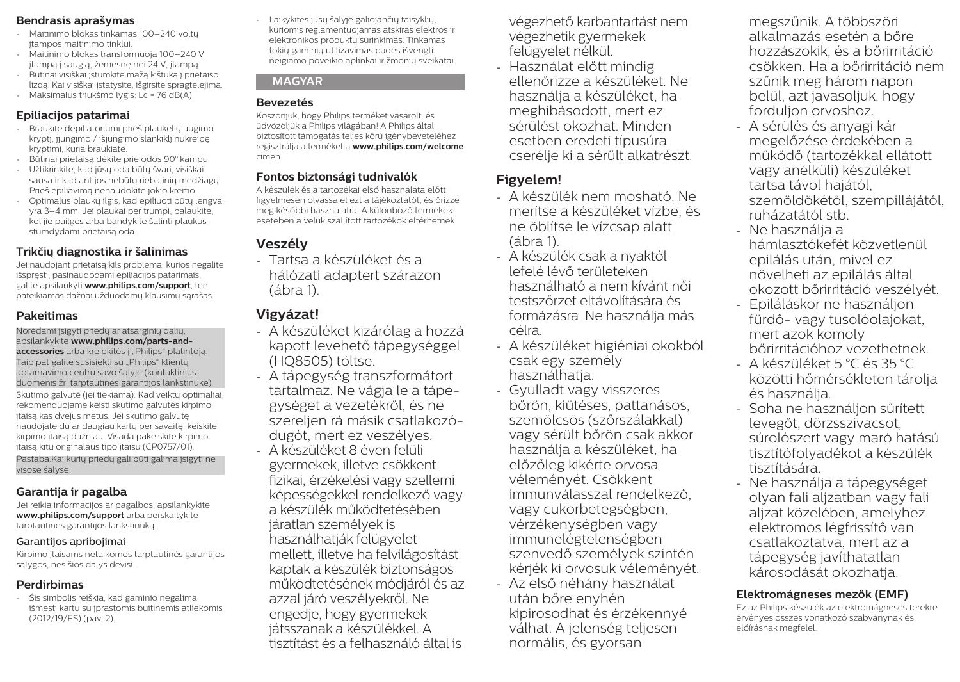#### **Bendrasis aprašymas**

- Maitinimo blokas tinkamas 100–240 voltų įtampos maitinimo tinklui.
- Maitinimo blokas transformuoja 100–240 V įtampą į saugią, žemesnę nei 24 V, įtampą.
- Būtinai visiškai įstumkite mažą kištuką į prietaiso lizdą. Kai visiškai įstatysite, išgirsite spragtelėjimą.
- Maksimalus triukšmo lygis: Lc = 76 dB(A).

#### **Epiliacijos patarimai**

- Braukite depiliatoriumi prieš plaukelių augimo kryptį, įjungimo / išjungimo slankiklį nukreipę kryptimi, kuria braukiate.
- Būtinai prietaisą dėkite prie odos 90° kampu.
- Užtikrinkite, kad jūsų oda būtų švari, visiškai sausa ir kad ant jos nebūtų riebalinių medžiagų. Prieš epiliavimą nenaudokite jokio kremo.
- Optimalus plaukų ilgis, kad epiliuoti būtų lengva, yra 3–4 mm. Jei plaukai per trumpi, palaukite, kol jie pailgės arba bandykite šalinti plaukus stumdydami prietaisą oda.

# **Trikčių diagnostika ir šalinimas**

Jei naudojant prietaisą kils problema, kurios negalite išspręsti, pasinaudodami epiliacijos patarimais, galite apsilankyti **www.philips.com/support**, ten pateikiamas dažnai užduodamų klausimų sąrašas.

### **Pakeitimas**

Norėdami įsigyti priedų ar atsarginių dalių, apsilankykite **www.philips.com/parts-andaccessories** arba kreipkitės į "Philips" platintoja. Taip pat galite susisiekti su "Philips" klientų aptarnavimo centru savo šalyje (kontaktinius duomenis žr. tarptautinės garantijos lankstinuke).

Skutimo galvutė (jei tiekiama): Kad veiktų optimaliai, rekomenduojame keisti skutimo galvutės kirpimo įtaisą kas dvejus metus. Jei skutimo galvutę naudojate du ar daugiau kartų per savaitę, keiskite kirpimo įtaisą dažniau. Visada pakeiskite kirpimo įtaisą kitu originalaus tipo įtaisu (CP0757/01). Pastaba.Kai kurių priedų gali būti galima įsigyti ne visose šalyse.

# **Garantija ir pagalba**

Jei reikia informacijos ar pagalbos, apsilankykite **www.philips.com/support** arba perskaitykite tarptautinės garantijos lankstinuką.

#### Garantijos apribojimai

Kirpimo įtaisams netaikomos tarptautinės garantijos sąlygos, nes šios dalys dėvisi.

# **Perdirbimas**

- Šis simbolis reiškia, kad gaminio negalima išmesti kartu su įprastomis buitinėmis atliekomis (2012/19/ES) (pav. 2).

- Laikykitės jūsų šalyje galiojančių taisyklių, kuriomis reglamentuojamas atskiras elektros ir elektronikos produktų surinkimas. Tinkamas tokių gaminių utilizavimas padės išvengti neigiamo poveikio aplinkai ir žmonių sveikatai.

#### **MAGYAR**

### **Bevezetés**

Köszönjük, hogy Philips terméket vásárolt, és üdvözöljük a Philips világában! A Philips által biztosított támogatás teljes körű igénybevételéhez regisztrálja a terméket a **www.philips.com/welcome** címen.

# **Fontos biztonsági tudnivalók**

A készülék és a tartozékai első használata előtt figyelmesen olvassa el ezt a tájékoztatót, és őrizze meg későbbi használatra. A különböző termékek esetében a velük szállított tartozékok eltérhetnek.

# **Veszély**

- Tartsa a készüléket és a hálózati adaptert szárazon (ábra 1).

# **Vigyázat!**

- A készüléket kizárólag a hozzá kapott levehető tápegységgel (HQ8505) töltse.
- A tápegység transzformátort tartalmaz. Ne vágia le a tápegységet a vezetékről, és ne szereljen rá másik csatlakozódugót, mert ez veszélyes.
- A készüléket 8 éven felüli gyermekek, illetve csökkent fizikai, érzékelési vagy szellemi képességekkel rendelkező vagy a készülék működtetésében járatlan személyek is használhatják felügyelet mellett, illetve ha felvilágosítást kaptak a készülék biztonságos működtetésének módjáról és az azzal járó veszélyekről. Ne engedje, hogy gyermekek játsszanak a készülékkel. A tisztítást és a felhasználó által is
- végezhető karbantartást nem végezhetik gyermekek felügyelet nélkül.
- Használat előtt mindig ellenőrizze a készüléket. Ne használja a készüléket, ha meghibásodott, mert ez sérülést okozhat. Minden esetben eredeti típusúra cserélje ki a sérült alkatrészt.

# **Figyelem!**

- A készülék nem mosható. Ne merítse a készüléket vízbe, és ne öblítse le vízcsap alatt (ábra 1).
- A készülék csak a nyaktól lefelé lévő területeken használható a nem kívánt női testszőrzet eltávolítására és formázásra. Ne használja más célra.
- A készüléket higiéniai okokból csak egy személy használhatia.
- Gyulladt vagy visszeres bőrön, kiütéses, pattanásos, szemölcsös (szőrszálakkal) vagy sérült bőrön csak akkor használja a készüléket, ha előzőleg kikérte orvosa véleményét. Csökkent immunválasszal rendelkező, vagy cukorbetegségben, vérzékenységben vagy immunelégtelenségben szenvedő személyek szintén kérjék ki orvosuk véleményét.
- Az első néhány használat után bőre enyhén kipirosodhat és érzékennyé válhat. A jelenség teljesen normális, és gyorsan

megszűnik. A többszöri alkalmazás esetén a bőre hozzászokik, és a bőrirritáció csökken. Ha a bőrirritáció nem szűnik meg három napon belül, azt javasoljuk, hogy forduljon orvoshoz.

- A sérülés és anyagi kár megelőzése érdekében a működő (tartozékkal ellátott vagy anélküli) készüléket tartsa távol hajától, szemöldökétől, szempillájától, ruházatától stb.
- Ne használja a hámlasztókefét közvetlenül epilálás után, mivel ez növelheti az epilálás által okozott bőrirritáció veszélyét.
- Epiláláskor ne használjon fürdő- vagy tusolóolajokat, mert azok komoly bőrirritációhoz vezethetnek.
- A készüléket 5 °C és 35 °C közötti hőmérsékleten tárolja és használja.
- Soha ne használjon sűrített levegőt, dörzsszivacsot, súrolószert vagy maró hatású tisztítófolyadékot a készülék tisztítására.
- Ne használja a tápegységet olyan fali aljzatban vagy fali aljzat közelében, amelyhez elektromos légfrissítő van csatlakoztatva, mert az a tápegység javíthatatlan károsodását okozhatja.

# **Elektromágneses mezők (EMF)**

Ez az Philips készülék az elektromágneses terekre érvényes összes vonatkozó szabványnak és előírásnak megfelel.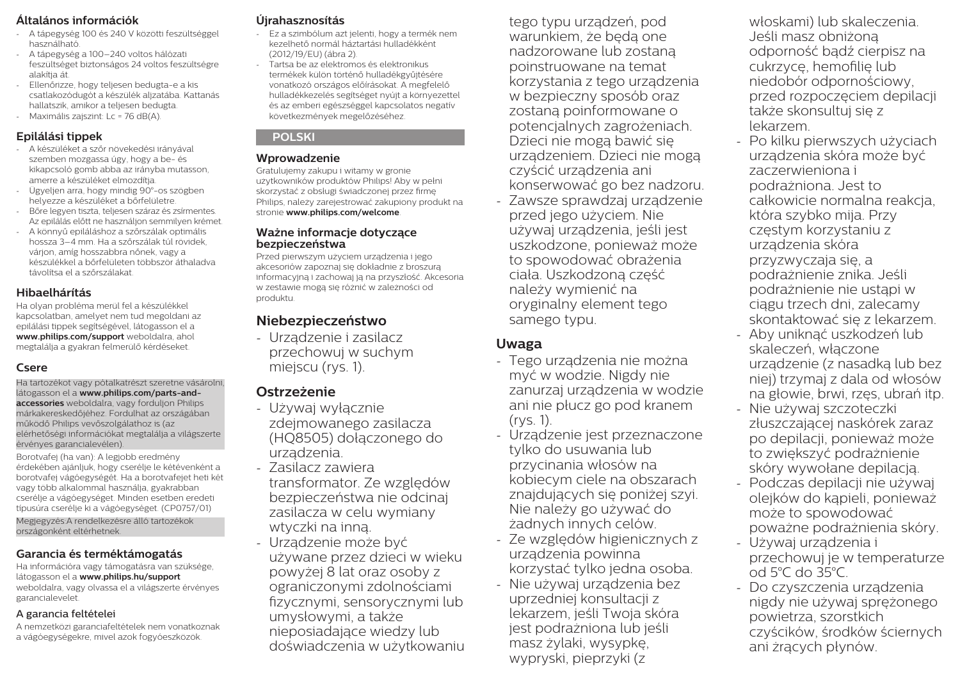### **Általános információk**

- A tápegység 100 és 240 V közötti feszültséggel használható.
- A tápegység a 100–240 voltos hálózati feszültséget biztonságos 24 voltos feszültségre alakítia át.
- Ellenőrizze, hogy teljesen bedugta-e a kis csatlakozódugót a készülék aljzatába. Kattanás hallatszik, amikor a teljesen bedugta.
- Maximális zajszint: Lc = 76 dB(A).

# **Epilálási tippek**

- A készüléket a szőr növekedési irányával szemben mozgassa úgy, hogy a be- és kikapcsoló gomb abba az irányba mutasson, amerre a készüléket elmozdítja.
- Ügyeljen arra, hogy mindig 90°-os szögben helyezze a készüléket a bőrfelületre.
- Bőre legyen tiszta, teljesen száraz és zsírmentes. Az epilálás előtt ne használjon semmilyen krémet.
- A könnyű epiláláshoz a szőrszálak optimális hossza 3–4 mm. Ha a szőrszálak túl rövidek, várjon, amíg hosszabbra nőnek, vagy a készülékkel a bőrfelületen többször áthaladva távolítsa el a szőrszálakat.

### **Hibaelhárítás**

Ha olyan probléma merül fel a készülékkel kapcsolatban, amelyet nem tud megoldani az epilálási tippek segítségével, látogasson el a **www.philips.com/support** weboldalra, ahol megtalálja a gyakran felmerülő kérdéseket.

### **Csere**

Ha tartozékot vagy pótalkatrészt szeretne vásárolni, látogasson el a **www.philips.com/parts-andaccessories** weboldalra, vagy forduljon Philips márkakereskedőjéhez. Fordulhat az országában működő Philips vevőszolgálathoz is (az elérhetőségi információkat megtalálja a világszerte érvényes garancialevélen).

Borotvafej (ha van): A legjobb eredmény érdekében ajánljuk, hogy cserélje le kétévenként a borotvafej vágóegységét. Ha a borotvafejet heti két vagy több alkalommal használja, gyakrabban cserélje a vágóegységet. Minden esetben eredeti típusúra cserélje ki a vágóegységet. (CP0757/01) Megjegyzés:A rendelkezésre álló tartozékok országonként eltérhetnek.

### **Garancia és terméktámogatás**

Ha információra vagy támogatásra van szüksége, látogasson el a **www.philips.hu/support**  weboldalra, vagy olvassa el a világszerte érvényes garancialevelet.

#### A garancia feltételei

A nemzetközi garanciafeltételek nem vonatkoznak a vágóegységekre, mivel azok fogyóeszközök.

## **Újrahasznosítás**

- Ez a szimbólum azt jelenti, hogy a termék nem kezelhető normál háztartási hulladékként (2012/19/EU) (ábra 2).
- Tartsa be az elektromos és elektronikus termékek külön történő hulladékgyűjtésére vonatkozó országos előírásokat. A megfelelő hulladékkezelés segítséget nyújt a környezettel és az emberi egészséggel kapcsolatos negatív következmények megelőzéséhez.

#### **POLSKI**

#### **Wprowadzenie**

Gratulujemy zakupu i witamy w gronie użytkowników produktów Philips! Aby w pełni skorzystać z obsługi świadczonej przez firmę Philips, należy zarejestrować zakupiony produkt na stronie **www.philips.com/welcome**.

#### **Ważne informacje dotyczące bezpieczeństwa**

Przed pierwszym użyciem urządzenia i jego akcesoriów zapoznaj się dokładnie z broszurą informacyjną i zachowaj ją na przyszłość. Akcesoria w zestawie mogą się różnić w zależności od produktu.

# **Niebezpieczeństwo**

- Urządzenie i zasilacz przechowuj w suchym miejscu (rys. 1).

# **Ostrzeżenie**

- Używaj wyłącznie zdejmowanego zasilacza (HQ8505) dołączonego do urządzenia.
- Zasilacz zawiera transformator. Ze względów bezpieczeństwa nie odcinaj zasilacza w celu wymiany wtyczki na inną.
- Urządzenie może być używane przez dzieci w wieku powyżej 8 lat oraz osoby z ograniczonymi zdolnościami fizycznymi, sensorycznymi lub umysłowymi, a także nieposiadające wiedzy lub doświadczenia w użytkowaniu

tego typu urządzeń, pod warunkiem, że będą one nadzorowane lub zostaną poinstruowane na temat korzystania z tego urządzenia w bezpieczny sposób oraz zostaną poinformowane o potencjalnych zagrożeniach. Dzieci nie mogą bawić się urządzeniem. Dzieci nie mogą czyścić urządzenia ani konserwować go bez nadzoru.

Zawsze sprawdzaj urządzenie przed jego użyciem. Nie używaj urządzenia, jeśli jest uszkodzone, ponieważ może to spowodować obrażenia ciała. Uszkodzoną część należy wymienić na oryginalny element tego samego typu.

# **Uwaga**

- Tego urządzenia nie można myć w wodzie. Nigdy nie zanurzaj urządzenia w wodzie ani nie płucz go pod kranem (rys. 1).
- Urządzenie jest przeznaczone tylko do usuwania lub przycinania włosów na kobiecym ciele na obszarach znajdujących się poniżej szyi. Nie należy go używać do żadnych innych celów.
- Ze względów higienicznych z urządzenia powinna korzystać tylko jedna osoba.
- Nie używaj urządzenia bez uprzedniej konsultacji z lekarzem, jeśli Twoja skóra jest podrażniona lub jeśli masz żylaki, wysypkę, wypryski, pieprzyki (z

włoskami) lub skaleczenia. Jeśli masz obniżoną odporność bądź cierpisz na cukrzycę, hemofilię lub niedobór odpornościowy, przed rozpoczęciem depilacji także skonsultuj się z lekarzem.

- Po kilku pierwszych użyciach urządzenia skóra może być zaczerwieniona i podrażniona. Jest to całkowicie normalna reakcja, która szybko mija. Przy częstym korzystaniu z urządzenia skóra przyzwyczaja się, a podrażnienie znika. Jeśli podrażnienie nie ustąpi w ciągu trzech dni, zalecamy skontaktować się z lekarzem.
- Aby uniknąć uszkodzeń lub skaleczeń, włączone urządzenie (z nasadką lub bez niej) trzymaj z dala od włosów na głowie, brwi, rzęs, ubrań itp.
- Nie używaj szczoteczki złuszczającej naskórek zaraz po depilacji, ponieważ może to zwiększyć podrażnienie skóry wywołane depilacją.
- Podczas depilacji nie używaj olejków do kąpieli, ponieważ może to spowodować poważne podrażnienia skóry.
- Używaj urządzenia i przechowuj je w temperaturze od 5°C do 35°C.
- Do czyszczenia urządzenia nigdy nie używaj sprężonego powietrza, szorstkich czyścików, środków ściernych ani żrących płynów.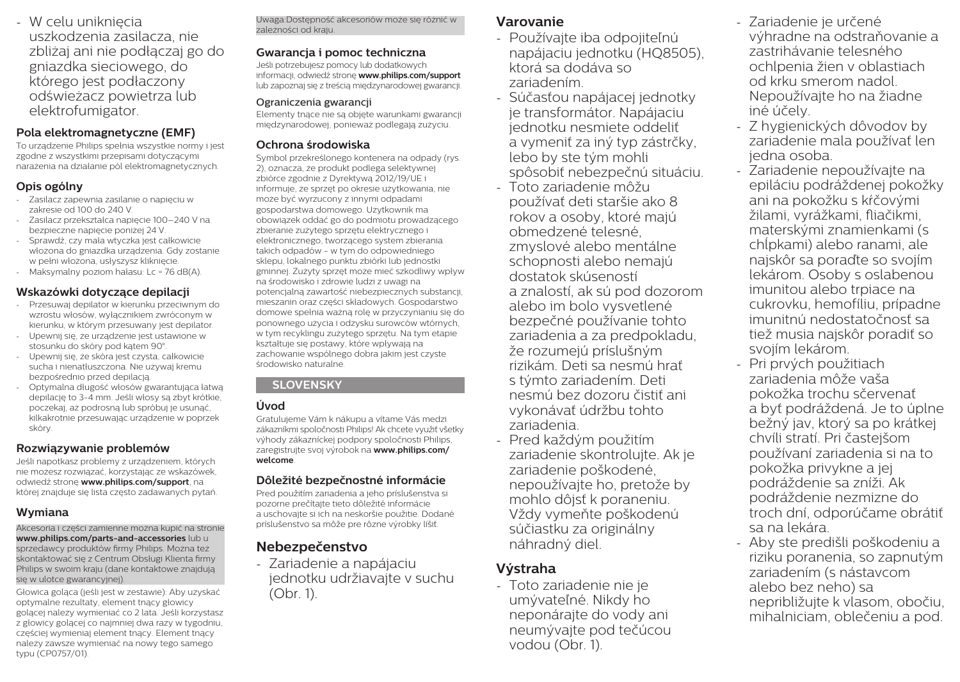- W celu uniknięcia uszkodzenia zasilacza, nie zbliżaj ani nie podłączaj go do gniazdka sieciowego, do którego jest podłaczony odświeżacz powietrza lub elektrofumigator.

#### **Pola elektromagnetyczne (EMF)**

To urządzenie Philips spełnia wszystkie normy i jest zgodne z wszystkimi przepisami dotyczącymi narażenia na działanie pól elektromagnetycznych.

### **Opis ogólny**

- Zasilacz zapewnia zasilanie o napięciu w zakresie od 100 do 240 V.
- Zasilacz przekształca napięcie 100–240 V na bezpieczne napięcie poniżej 24 V.
- Sprawdź, czy mała wtyczka jest całkowicie włożona do gniazdka urządzenia. Gdy zostanie w pełni włożona, usłyszysz kliknięcie.
- Maksymalny poziom hałasu: Lc = 76 dB(A).

#### **Wskazówki dotyczące depilacji**

- Przesuwaj depilator w kierunku przeciwnym do wzrostu włosów, wyłącznikiem zwróconym w kierunku, w którym przesuwany jest depilator.
- Upewnij się, że urządzenie jest ustawione w stosunku do skóry pod kątem 90°.
- Upewnij się, że skóra jest czysta, całkowicie sucha i nienatłuszczona. Nie używaj kremu bezpośrednio przed depilacją.
- Optymalna długość włosów gwarantująca łatwą depilację to 3-4 mm. Jeśli włosy są zbyt krótkie, poczekaj, aż podrosną lub spróbuj je usunąć, kilkakrotnie przesuwając urządzenie w poprzek skóry.

#### **Rozwiązywanie problemów**

Jeśli napotkasz problemy z urządzeniem, których nie możesz rozwiązać, korzystając ze wskazówek, odwiedź stronę **www.philips.com/support**, na której znajduje się lista często zadawanych pytań.

#### **Wymiana**

Akcesoria i części zamienne można kupić na stronie **www.philips.com/parts-and-accessories** lub u sprzedawcy produktów firmy Philips. Można też skontaktować się z Centrum Obsługi Klienta firmy Philips w swoim kraju (dane kontaktowe znajdują się w ulotce gwarancyjnej).

Głowica goląca (jeśli jest w zestawie): Aby uzyskać optymalne rezultaty, element tnący głowicy golącej należy wymieniać co 2 lata. Jeśli korzystasz z głowicy golącej co najmniej dwa razy w tygodniu, częściej wymieniaj element tnący. Element tnący należy zawsze wymieniać na nowy tego samego typu (CP0757/01).

Uwaga:Dostępność akcesoriów może się różnić w zależności od kraju.

### **Gwarancja i pomoc techniczna**

Jeśli potrzebujesz pomocy lub dodatkowych informacji, odwiedź stronę **www.philips.com/support**  lub zapoznaj się z treścią międzynarodowej gwarancji.

#### Ograniczenia gwarancji

Elementy tnące nie są objęte warunkami gwarancji międzynarodowej, ponieważ podlegają zużyciu.

#### **Ochrona środowiska**

Symbol przekreślonego kontenera na odpady (rys. 2), oznacza, że produkt podlega selektywnej zbiórce zgodnie z Dyrektywą 2012/19/UE i informuje, że sprzęt po okresie użytkowania, nie może być wyrzucony z innymi odpadami gospodarstwa domowego. Użytkownik ma obowiązek oddać go do podmiotu prowadzącego zbieranie zużytego sprzętu elektrycznego i elektronicznego, tworzącego system zbierania takich odpadów - w tym do odpowiedniego sklepu, lokalnego punktu zbiórki lub jednostki gminnej. Zużyty sprzęt może mieć szkodliwy wpływ na środowisko i zdrowie ludzi z uwagi na potencjalną zawartość niebezpiecznych substancji, mieszanin oraz części składowych. Gospodarstwo domowe spełnia ważną rolę w przyczynianiu się do ponownego użycia i odzysku surowców wtórnych, w tym recyklingu zużytego sprzętu. Na tym etapie kształtuje się postawy, które wpływają na zachowanie wspólnego dobra jakim jest czyste środowisko naturalne.

### **SLOVENSKY**

# **Úvod**

Gratulujeme Vám k nákupu a vítame Vás medzi zákazníkmi spoločnosti Philips! Ak chcete využiť všetky výhody zákazníckej podpory spoločnosti Philips, zaregistrujte svoj výrobok na **www.philips.com/ welcome**.

#### **Dôležité bezpečnostné informácie**

Pred použitím zariadenia a jeho príslušenstva si pozorne prečítajte tieto dôležité informácie a uschovajte si ich na neskoršie použitie. Dodané príslušenstvo sa môže pre rôzne výrobky líšiť.

# **Nebezpečenstvo**

- Zariadenie a napájaciu jednotku udržiavajte v suchu (Obr. 1).

# **Varovanie**

- Používajte iba odpojiteľnú napájaciu jednotku (HQ8505), ktorá sa dodáva so zariadením.
- Súčasťou napájacej jednotky je transformátor. Napájaciu jednotku nesmiete oddeliť a vymeniť za iný typ zástrčky, lebo by ste tým mohli spôsobiť nebezpečnú situáciu.
- Toto zariadenie môžu používať deti staršie ako 8 rokov a osoby, ktoré majú obmedzené telesné, zmyslové alebo mentálne schopnosti alebo nemajú dostatok skúseností a znalostí, ak sú pod dozorom alebo im bolo vysvetlené bezpečné používanie tohto zariadenia a za predpokladu, že rozumejú príslušným rizikám. Deti sa nesmú hrať s týmto zariadením. Deti nesmú bez dozoru čistiť ani vykonávať údržbu tohto zariadenia.
- Pred každým použitím zariadenie skontrolujte. Ak je zariadenie poškodené, nepoužívajte ho, pretože by mohlo dôjsť k poraneniu. Vždy vymeňte poškodenú súčiastku za originálny náhradný diel.

# **Výstraha**

- Toto zariadenie nie je umývateľné. Nikdy ho neponárajte do vody ani neumývajte pod tečúcou vodou (Obr. 1).

- Zariadenie je určené výhradne na odstraňovanie a zastrihávanie telesného ochlpenia žien v oblastiach od krku smerom nadol. Nepoužívajte ho na žiadne iné účely.
- Z hygienických dôvodov by zariadenie mala používať len jedna osoba.
- Zariadenie nepoužívajte na epiláciu podráždenej pokožky ani na pokožku s kŕčovými žilami, vyrážkami, fliačikmi, materskými znamienkami (s chĺpkami) alebo ranami, ale najskôr sa poraďte so svojím lekárom. Osoby s oslabenou imunitou alebo trpiace na cukrovku, hemofíliu, prípadne imunitnú nedostatočnosť sa tiež musia najskôr poradiť so svojím lekárom.
- Pri prvých použitiach zariadenia môže vaša pokožka trochu sčervenať a byť podráždená. Je to úplne bežný jav, ktorý sa po krátkej chvíli stratí. Pri častejšom používaní zariadenia si na to pokožka privykne a jej podráždenie sa zníži. Ak podráždenie nezmizne do troch dní, odporúčame obrátiť sa na lekára.
- Aby ste predišli poškodeniu a riziku poranenia, so zapnutým zariadením (s nástavcom alebo bez neho) sa nepribližujte k vlasom, obočiu, mihalniciam, oblečeniu a pod.